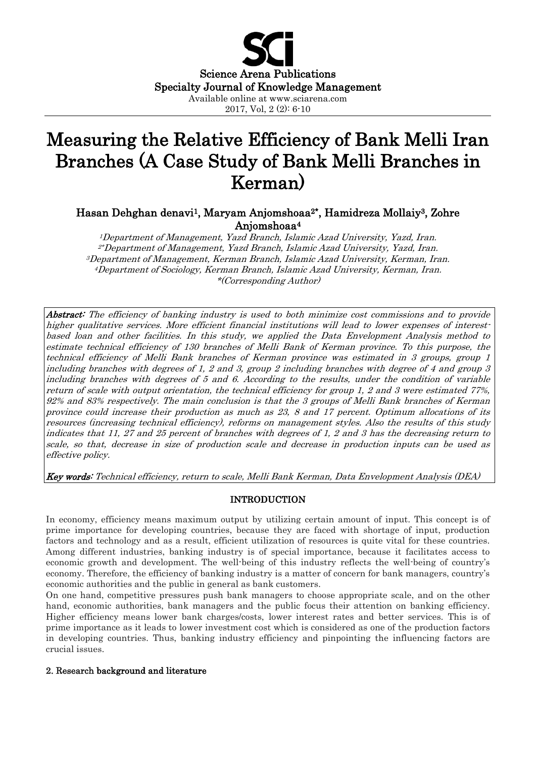

# Measuring the Relative Efficiency of Bank Melli Iran Branches (A Case Study of Bank Melli Branches in Kerman)

## Hasan Dehghan denavi1, Maryam Anjomshoaa2\*, Hamidreza Mollaiy3, Zohre Anjomshoaa4

1Department of Management, Yazd Branch, Islamic Azad University, Yazd, Iran. 2\*Department of Management, Yazd Branch, Islamic Azad University, Yazd, Iran. 3Department of Management, Kerman Branch, Islamic Azad University, Kerman, Iran. 4Department of Sociology, Kerman Branch, Islamic Azad University, Kerman, Iran. \*(Corresponding Author)

Abstract: The efficiency of banking industry is used to both minimize cost commissions and to provide higher qualitative services. More efficient financial institutions will lead to lower expenses of interestbased loan and other facilities. In this study, we applied the Data Envelopment Analysis method to estimate technical efficiency of 130 branches of Melli Bank of Kerman province. To this purpose, the technical efficiency of Melli Bank branches of Kerman province was estimated in 3 groups, group 1 including branches with degrees of 1, 2 and 3, group 2 including branches with degree of 4 and group 3 including branches with degrees of 5 and 6. According to the results, under the condition of variable return of scale with output orientation, the technical efficiency for group 1, 2 and 3 were estimated 77%, 92% and 83% respectively. The main conclusion is that the 3 groups of Melli Bank branches of Kerman province could increase their production as much as 23, 8 and 17 percent. Optimum allocations of its resources (increasing technical efficiency), reforms on management styles. Also the results of this study indicates that 11, 27 and 25 percent of branches with degrees of 1, 2 and 3 has the decreasing return to scale, so that, decrease in size of production scale and decrease in production inputs can be used as effective policy.

Key words: Technical efficiency, return to scale, Melli Bank Kerman, Data Envelopment Analysis (DEA)

## INTRODUCTION

In economy, efficiency means maximum output by utilizing certain amount of input. This concept is of prime importance for developing countries, because they are faced with shortage of input, production factors and technology and as a result, efficient utilization of resources is quite vital for these countries. Among different industries, banking industry is of special importance, because it facilitates access to economic growth and development. The well-being of this industry reflects the well-being of country's economy. Therefore, the efficiency of banking industry is a matter of concern for bank managers, country's economic authorities and the public in general as bank customers.

On one hand, competitive pressures push bank managers to choose appropriate scale, and on the other hand, economic authorities, bank managers and the public focus their attention on banking efficiency. Higher efficiency means lower bank charges/costs, lower interest rates and better services. This is of prime importance as it leads to lower investment cost which is considered as one of the production factors in developing countries. Thus, banking industry efficiency and pinpointing the influencing factors are crucial issues.

#### 2. Research background and literature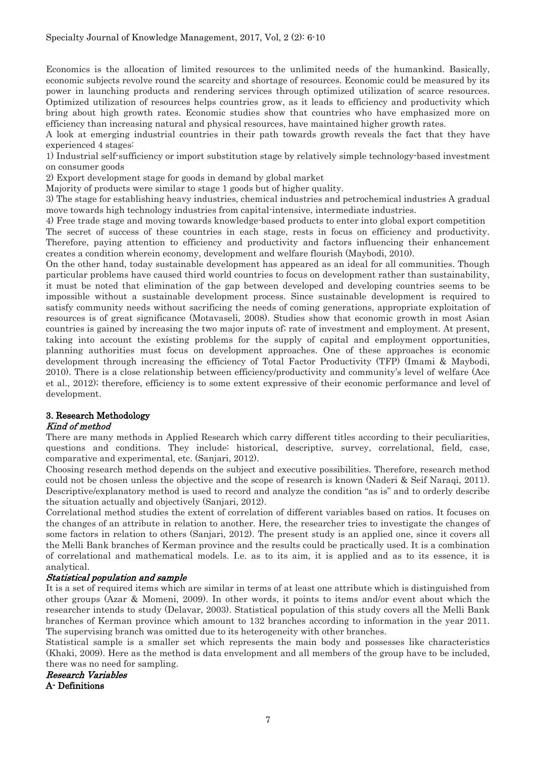Economics is the allocation of limited resources to the unlimited needs of the humankind. Basically, economic subjects revolve round the scarcity and shortage of resources. Economic could be measured by its power in launching products and rendering services through optimized utilization of scarce resources. Optimized utilization of resources helps countries grow, as it leads to efficiency and productivity which bring about high growth rates. Economic studies show that countries who have emphasized more on efficiency than increasing natural and physical resources, have maintained higher growth rates.

A look at emerging industrial countries in their path towards growth reveals the fact that they have experienced 4 stages:

1) Industrial self-sufficiency or import substitution stage by relatively simple technology-based investment on consumer goods

2) Export development stage for goods in demand by global market

Majority of products were similar to stage 1 goods but of higher quality.

3) The stage for establishing heavy industries, chemical industries and petrochemical industries A gradual move towards high technology industries from capital-intensive, intermediate industries.

4) Free trade stage and moving towards knowledge-based products to enter into global export competition

The secret of success of these countries in each stage, rests in focus on efficiency and productivity. Therefore, paying attention to efficiency and productivity and factors influencing their enhancement creates a condition wherein economy, development and welfare flourish (Maybodi, 2010).

On the other hand, today sustainable development has appeared as an ideal for all communities. Though particular problems have caused third world countries to focus on development rather than sustainability, it must be noted that elimination of the gap between developed and developing countries seems to be impossible without a sustainable development process. Since sustainable development is required to satisfy community needs without sacrificing the needs of coming generations, appropriate exploitation of resources is of great significance (Motavaseli, 2008). Studies show that economic growth in most Asian countries is gained by increasing the two major inputs of; rate of investment and employment. At present, taking into account the existing problems for the supply of capital and employment opportunities, planning authorities must focus on development approaches. One of these approaches is economic development through increasing the efficiency of Total Factor Productivity (TFP) (Imami & Maybodi, 2010). There is a close relationship between efficiency/productivity and community's level of welfare (Ace et al., 2012); therefore, efficiency is to some extent expressive of their economic performance and level of development.

# 3. Research Methodology

## Kind of method

There are many methods in Applied Research which carry different titles according to their peculiarities, questions and conditions. They include: historical, descriptive, survey, correlational, field, case, comparative and experimental, etc. (Sanjari, 2012).

Choosing research method depends on the subject and executive possibilities. Therefore, research method could not be chosen unless the objective and the scope of research is known (Naderi & Seif Naraqi, 2011). Descriptive/explanatory method is used to record and analyze the condition "as is" and to orderly describe the situation actually and objectively (Sanjari, 2012).

Correlational method studies the extent of correlation of different variables based on ratios. It focuses on the changes of an attribute in relation to another. Here, the researcher tries to investigate the changes of some factors in relation to others (Sanjari, 2012). The present study is an applied one, since it covers all the Melli Bank branches of Kerman province and the results could be practically used. It is a combination of correlational and mathematical models. I.e. as to its aim, it is applied and as to its essence, it is analytical.

## Statistical population and sample

It is a set of required items which are similar in terms of at least one attribute which is distinguished from other groups (Azar & Momeni, 2009). In other words, it points to items and/or event about which the researcher intends to study (Delavar, 2003). Statistical population of this study covers all the Melli Bank branches of Kerman province which amount to 132 branches according to information in the year 2011. The supervising branch was omitted due to its heterogeneity with other branches.

Statistical sample is a smaller set which represents the main body and possesses like characteristics (Khaki, 2009). Here as the method is data envelopment and all members of the group have to be included, there was no need for sampling.

## Research Variables

A- Definitions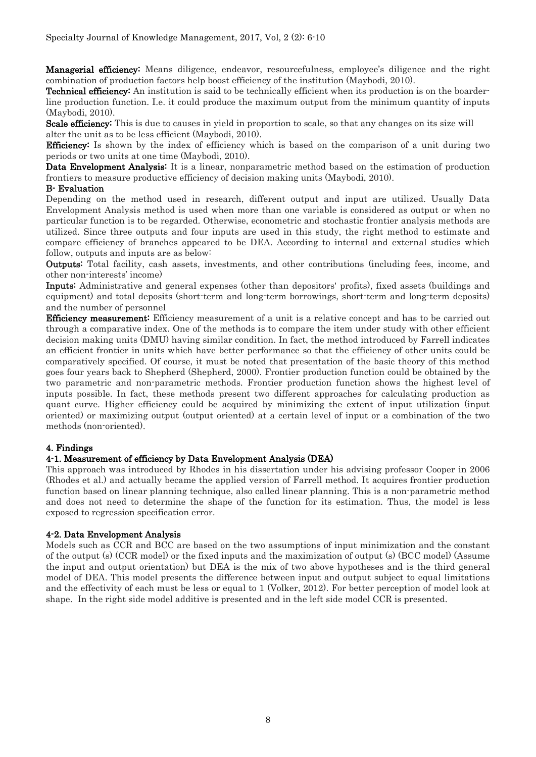Managerial efficiency: Means diligence, endeavor, resourcefulness, employee's diligence and the right combination of production factors help boost efficiency of the institution (Maybodi, 2010).

Technical efficiency: An institution is said to be technically efficient when its production is on the boarderline production function. I.e. it could produce the maximum output from the minimum quantity of inputs (Maybodi, 2010).

Scale efficiency: This is due to causes in yield in proportion to scale, so that any changes on its size will alter the unit as to be less efficient (Maybodi, 2010).

**Efficiency:** Is shown by the index of efficiency which is based on the comparison of a unit during two periods or two units at one time (Maybodi, 2010).

Data Envelopment Analysis: It is a linear, nonparametric method based on the estimation of production frontiers to measure productive efficiency of decision making units (Maybodi, 2010).

## B- Evaluation

Depending on the method used in research, different output and input are utilized. Usually Data Envelopment Analysis method is used when more than one variable is considered as output or when no particular function is to be regarded. Otherwise, econometric and stochastic frontier analysis methods are utilized. Since three outputs and four inputs are used in this study, the right method to estimate and compare efficiency of branches appeared to be DEA. According to internal and external studies which follow, outputs and inputs are as below:

Outputs: Total facility, cash assets, investments, and other contributions (including fees, income, and other non-interests' income)

Inputs: Administrative and general expenses (other than depositors' profits), fixed assets (buildings and equipment) and total deposits (short-term and long-term borrowings, short-term and long-term deposits) and the number of personnel

Efficiency measurement: Efficiency measurement of a unit is a relative concept and has to be carried out through a comparative index. One of the methods is to compare the item under study with other efficient decision making units (DMU) having similar condition. In fact, the method introduced by Farrell indicates an efficient frontier in units which have better performance so that the efficiency of other units could be comparatively specified. Of course, it must be noted that presentation of the basic theory of this method goes four years back to Shepherd (Shepherd, 2000). Frontier production function could be obtained by the two parametric and non-parametric methods. Frontier production function shows the highest level of inputs possible. In fact, these methods present two different approaches for calculating production as quant curve. Higher efficiency could be acquired by minimizing the extent of input utilization (input oriented) or maximizing output (output oriented) at a certain level of input or a combination of the two methods (non-oriented).

## 4. Findings

## 4-1. Measurement of efficiency by Data Envelopment Analysis (DEA)

This approach was introduced by Rhodes in his dissertation under his advising professor Cooper in 2006 (Rhodes et al.) and actually became the applied version of Farrell method. It acquires frontier production function based on linear planning technique, also called linear planning. This is a non-parametric method and does not need to determine the shape of the function for its estimation. Thus, the model is less exposed to regression specification error.

## 4-2. Data Envelopment Analysis

Models such as CCR and BCC are based on the two assumptions of input minimization and the constant of the output (s) (CCR model) or the fixed inputs and the maximization of output (s) (BCC model) (Assume the input and output orientation) but DEA is the mix of two above hypotheses and is the third general model of DEA. This model presents the difference between input and output subject to equal limitations and the effectivity of each must be less or equal to 1 (Volker, 2012). For better perception of model look at shape. In the right side model additive is presented and in the left side model CCR is presented.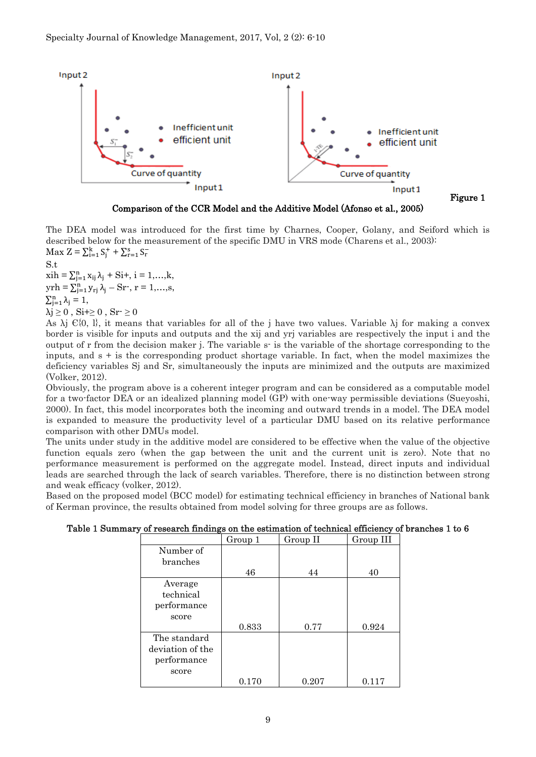

Comparison of the CCR Model and the Additive Model (Afonso et al., 2005)

The DEA model was introduced for the first time by Charnes, Cooper, Golany, and Seiford which is described below for the measurement of the specific DMU in VRS mode (Charens et al., 2003):  $\text{Max } Z = \sum_{i=1}^{k} S_{j}^{+} + \sum_{r=1}^{s} S_{r}^{-}$ 

S.t  $xih = \sum_{j=1}^{n} x_{ij} \lambda_j + Si+, i = 1,...,k,$  $\text{yrh} = \sum_{j=1}^{n} y_{rj} \lambda_j - \text{Sr-}, r = 1, ..., s,$  $\sum_{j=1}^n \lambda_j = 1$ ,  $\lambda$ j  $\geq 0$ , Si+ $\geq 0$ , Sr $\geq 0$ 

As  $\lambda$ j  $\mathcal{C}\{0, 1\}$ , it means that variables for all of the j have two values. Variable  $\lambda$ j for making a convex border is visible for inputs and outputs and the xij and yrj variables are respectively the input i and the output of r from the decision maker j. The variable s- is the variable of the shortage corresponding to the inputs, and  $s + i$  is the corresponding product shortage variable. In fact, when the model maximizes the deficiency variables Sj and Sr, simultaneously the inputs are minimized and the outputs are maximized (Volker, 2012).

Obviously, the program above is a coherent integer program and can be considered as a computable model for a two-factor DEA or an idealized planning model (GP) with one-way permissible deviations (Sueyoshi, 2000). In fact, this model incorporates both the incoming and outward trends in a model. The DEA model is expanded to measure the productivity level of a particular DMU based on its relative performance comparison with other DMUs model.

The units under study in the additive model are considered to be effective when the value of the objective function equals zero (when the gap between the unit and the current unit is zero). Note that no performance measurement is performed on the aggregate model. Instead, direct inputs and individual leads are searched through the lack of search variables. Therefore, there is no distinction between strong and weak efficacy (volker, 2012).

Based on the proposed model (BCC model) for estimating technical efficiency in branches of National bank of Kerman province, the results obtained from model solving for three groups are as follows.

|                  | Group 1 | Group II | Group III |
|------------------|---------|----------|-----------|
| Number of        |         |          |           |
| branches         |         |          |           |
|                  | 46      | 44       | 40        |
| Average          |         |          |           |
| technical        |         |          |           |
| performance      |         |          |           |
| score            |         |          |           |
|                  | 0.833   | 0.77     | 0.924     |
| The standard     |         |          |           |
| deviation of the |         |          |           |
| performance      |         |          |           |
| score            |         |          |           |
|                  | 0.170   | 0.207    | 0.117     |

Table 1 Summary of research findings on the estimation of technical efficiency of branches 1 to 6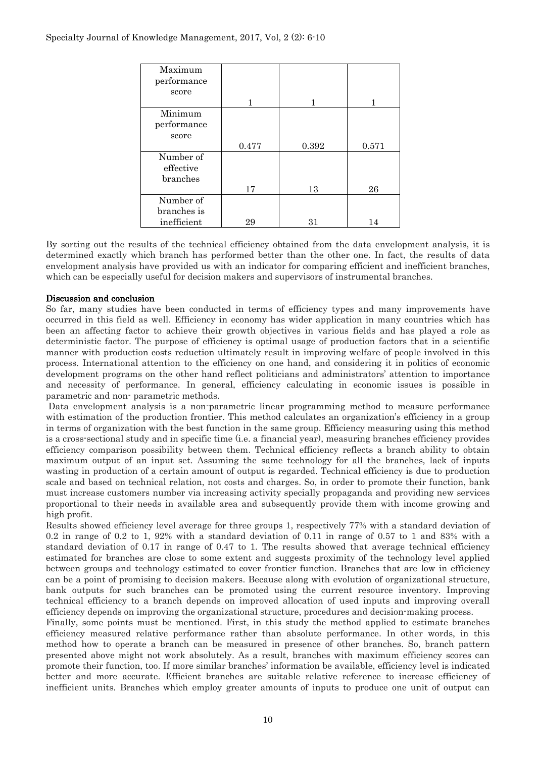| Maximum     |       |       |       |
|-------------|-------|-------|-------|
| performance |       |       |       |
| score       |       |       |       |
|             |       | 1     |       |
| Minimum     |       |       |       |
| performance |       |       |       |
| score       |       |       |       |
|             | 0.477 | 0.392 | 0.571 |
| Number of   |       |       |       |
| effective   |       |       |       |
| branches    |       |       |       |
|             | 17    | 13    | 26    |
| Number of   |       |       |       |
| branches is |       |       |       |
| inefficient | 29    | 31    | 14    |

By sorting out the results of the technical efficiency obtained from the data envelopment analysis, it is determined exactly which branch has performed better than the other one. In fact, the results of data envelopment analysis have provided us with an indicator for comparing efficient and inefficient branches, which can be especially useful for decision makers and supervisors of instrumental branches.

## Discussion and conclusion

So far, many studies have been conducted in terms of efficiency types and many improvements have occurred in this field as well. Efficiency in economy has wider application in many countries which has been an affecting factor to achieve their growth objectives in various fields and has played a role as deterministic factor. The purpose of efficiency is optimal usage of production factors that in a scientific manner with production costs reduction ultimately result in improving welfare of people involved in this process. International attention to the efficiency on one hand, and considering it in politics of economic development programs on the other hand reflect politicians and administrators' attention to importance and necessity of performance. In general, efficiency calculating in economic issues is possible in parametric and non- parametric methods.

Data envelopment analysis is a non-parametric linear programming method to measure performance with estimation of the production frontier. This method calculates an organization's efficiency in a group in terms of organization with the best function in the same group. Efficiency measuring using this method is a cross-sectional study and in specific time (i.e. a financial year), measuring branches efficiency provides efficiency comparison possibility between them. Technical efficiency reflects a branch ability to obtain maximum output of an input set. Assuming the same technology for all the branches, lack of inputs wasting in production of a certain amount of output is regarded. Technical efficiency is due to production scale and based on technical relation, not costs and charges. So, in order to promote their function, bank must increase customers number via increasing activity specially propaganda and providing new services proportional to their needs in available area and subsequently provide them with income growing and high profit.

Results showed efficiency level average for three groups 1, respectively 77% with a standard deviation of 0.2 in range of 0.2 to 1, 92% with a standard deviation of 0.11 in range of 0.57 to 1 and 83% with a standard deviation of 0.17 in range of 0.47 to 1. The results showed that average technical efficiency estimated for branches are close to some extent and suggests proximity of the technology level applied between groups and technology estimated to cover frontier function. Branches that are low in efficiency can be a point of promising to decision makers. Because along with evolution of organizational structure, bank outputs for such branches can be promoted using the current resource inventory. Improving technical efficiency to a branch depends on improved allocation of used inputs and improving overall efficiency depends on improving the organizational structure, procedures and decision-making process.

Finally, some points must be mentioned. First, in this study the method applied to estimate branches efficiency measured relative performance rather than absolute performance. In other words, in this method how to operate a branch can be measured in presence of other branches. So, branch pattern presented above might not work absolutely. As a result, branches with maximum efficiency scores can promote their function, too. If more similar branches' information be available, efficiency level is indicated better and more accurate. Efficient branches are suitable relative reference to increase efficiency of inefficient units. Branches which employ greater amounts of inputs to produce one unit of output can